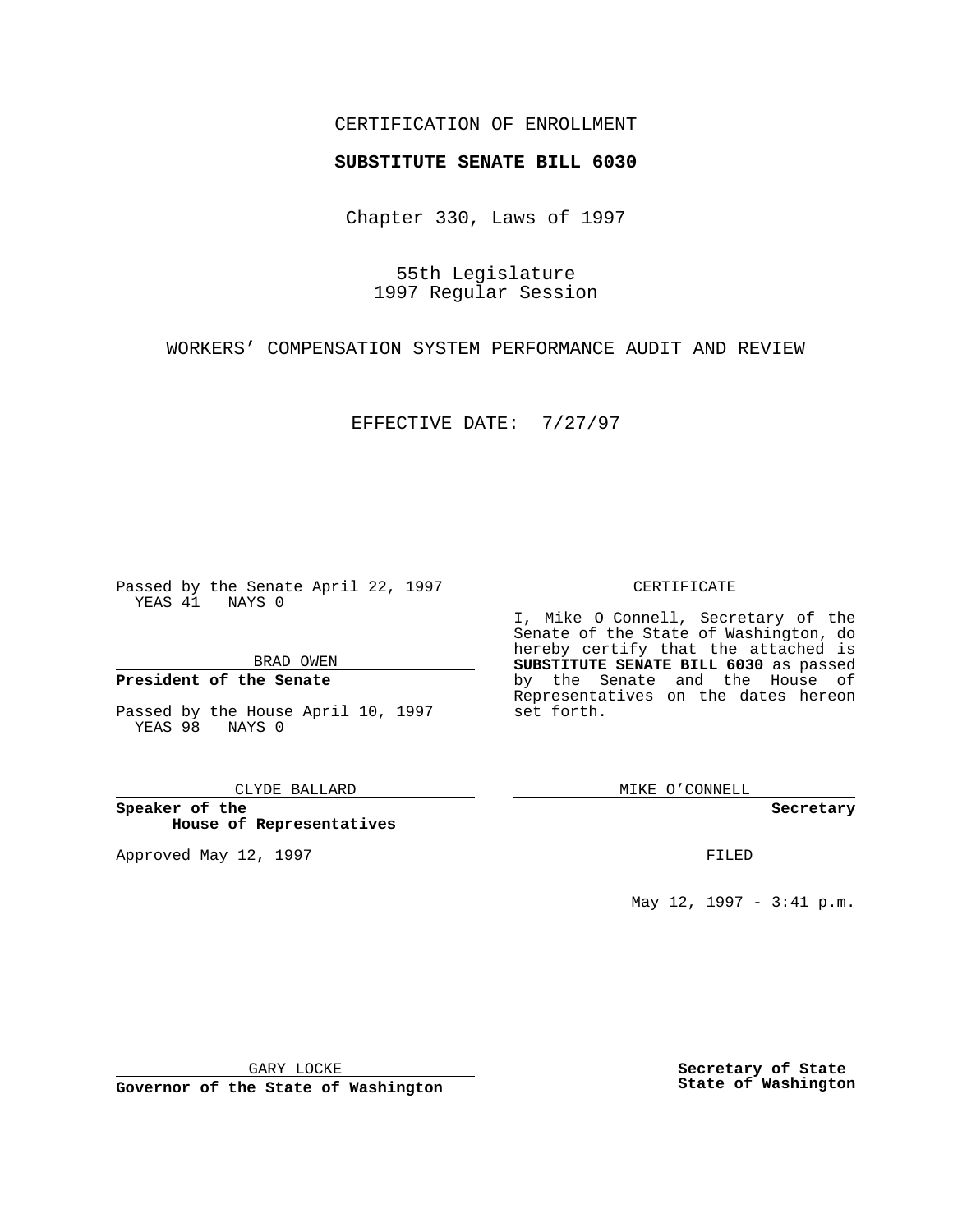## CERTIFICATION OF ENROLLMENT

# **SUBSTITUTE SENATE BILL 6030**

Chapter 330, Laws of 1997

55th Legislature 1997 Regular Session

WORKERS' COMPENSATION SYSTEM PERFORMANCE AUDIT AND REVIEW

EFFECTIVE DATE: 7/27/97

Passed by the Senate April 22, 1997 YEAS 41 NAYS 0

BRAD OWEN

### **President of the Senate**

Passed by the House April 10, 1997 YEAS 98 NAYS 0

CLYDE BALLARD

**Speaker of the House of Representatives**

Approved May 12, 1997 **FILED** 

### CERTIFICATE

I, Mike O Connell, Secretary of the Senate of the State of Washington, do hereby certify that the attached is **SUBSTITUTE SENATE BILL 6030** as passed by the Senate and the House of Representatives on the dates hereon set forth.

MIKE O'CONNELL

#### **Secretary**

May 12, 1997 - 3:41 p.m.

GARY LOCKE

**Governor of the State of Washington**

**Secretary of State State of Washington**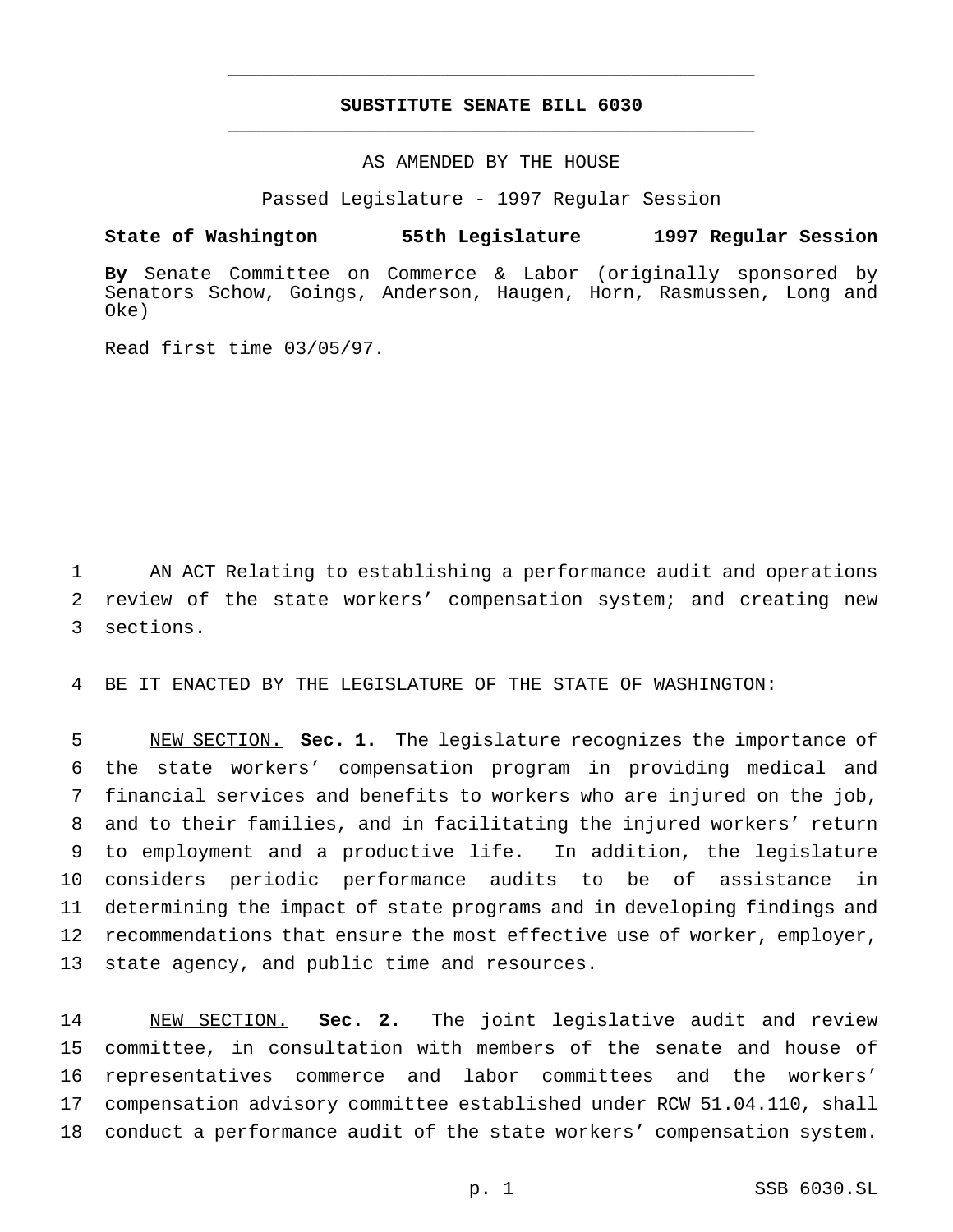# **SUBSTITUTE SENATE BILL 6030** \_\_\_\_\_\_\_\_\_\_\_\_\_\_\_\_\_\_\_\_\_\_\_\_\_\_\_\_\_\_\_\_\_\_\_\_\_\_\_\_\_\_\_\_\_\_\_

\_\_\_\_\_\_\_\_\_\_\_\_\_\_\_\_\_\_\_\_\_\_\_\_\_\_\_\_\_\_\_\_\_\_\_\_\_\_\_\_\_\_\_\_\_\_\_

## AS AMENDED BY THE HOUSE

Passed Legislature - 1997 Regular Session

### **State of Washington 55th Legislature 1997 Regular Session**

**By** Senate Committee on Commerce & Labor (originally sponsored by Senators Schow, Goings, Anderson, Haugen, Horn, Rasmussen, Long and Oke)

Read first time 03/05/97.

1 AN ACT Relating to establishing a performance audit and operations 2 review of the state workers' compensation system; and creating new 3 sections.

4 BE IT ENACTED BY THE LEGISLATURE OF THE STATE OF WASHINGTON:

 NEW SECTION. **Sec. 1.** The legislature recognizes the importance of the state workers' compensation program in providing medical and financial services and benefits to workers who are injured on the job, and to their families, and in facilitating the injured workers' return to employment and a productive life. In addition, the legislature considers periodic performance audits to be of assistance in determining the impact of state programs and in developing findings and 12 recommendations that ensure the most effective use of worker, employer, state agency, and public time and resources.

 NEW SECTION. **Sec. 2.** The joint legislative audit and review committee, in consultation with members of the senate and house of representatives commerce and labor committees and the workers' compensation advisory committee established under RCW 51.04.110, shall conduct a performance audit of the state workers' compensation system.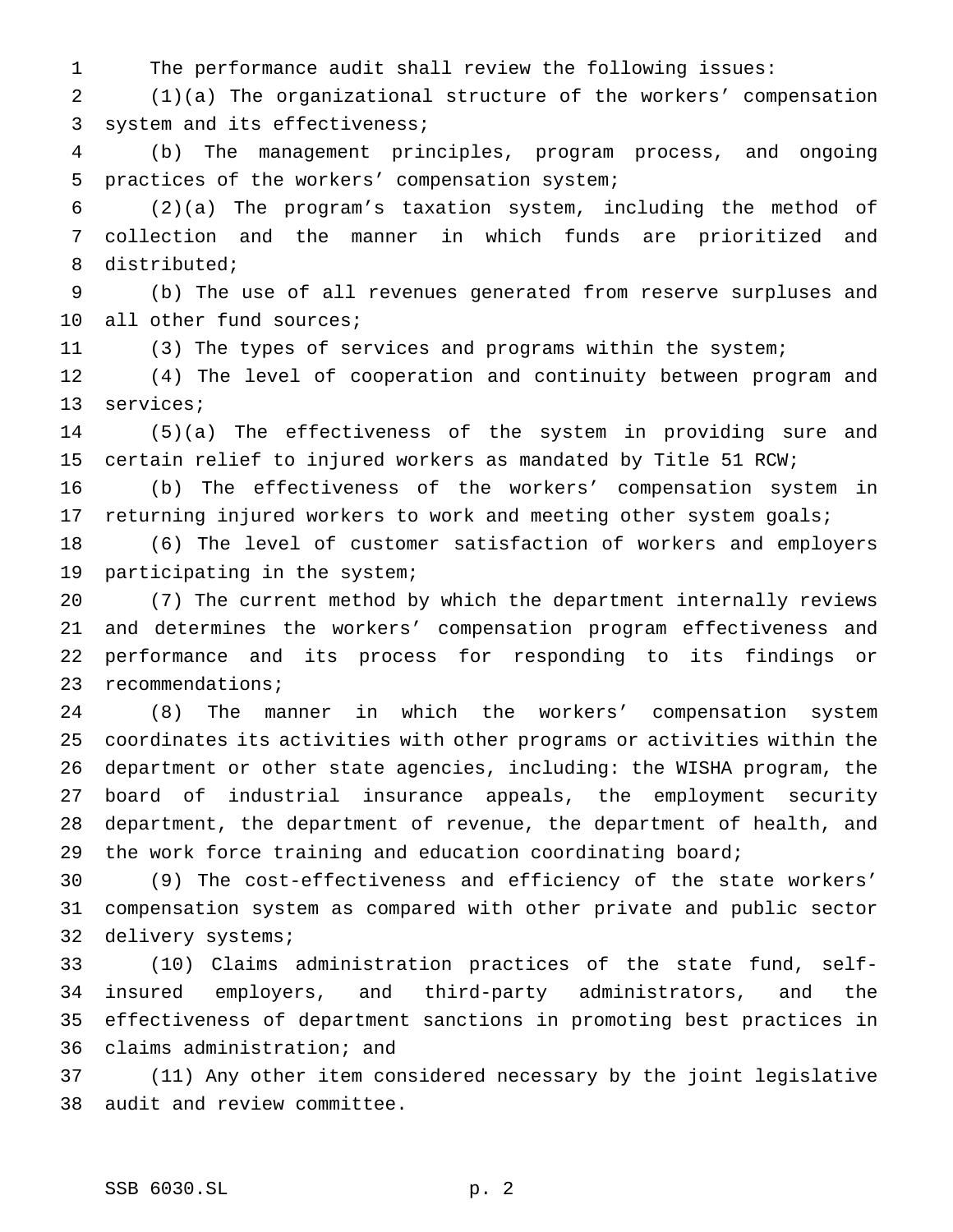The performance audit shall review the following issues:

 (1)(a) The organizational structure of the workers' compensation system and its effectiveness;

 (b) The management principles, program process, and ongoing practices of the workers' compensation system;

 (2)(a) The program's taxation system, including the method of collection and the manner in which funds are prioritized and distributed;

 (b) The use of all revenues generated from reserve surpluses and all other fund sources;

(3) The types of services and programs within the system;

 (4) The level of cooperation and continuity between program and services;

 (5)(a) The effectiveness of the system in providing sure and certain relief to injured workers as mandated by Title 51 RCW;

 (b) The effectiveness of the workers' compensation system in 17 returning injured workers to work and meeting other system goals;

 (6) The level of customer satisfaction of workers and employers participating in the system;

 (7) The current method by which the department internally reviews and determines the workers' compensation program effectiveness and performance and its process for responding to its findings or recommendations;

 (8) The manner in which the workers' compensation system coordinates its activities with other programs or activities within the department or other state agencies, including: the WISHA program, the board of industrial insurance appeals, the employment security department, the department of revenue, the department of health, and the work force training and education coordinating board;

 (9) The cost-effectiveness and efficiency of the state workers' compensation system as compared with other private and public sector delivery systems;

 (10) Claims administration practices of the state fund, self- insured employers, and third-party administrators, and the effectiveness of department sanctions in promoting best practices in claims administration; and

 (11) Any other item considered necessary by the joint legislative audit and review committee.